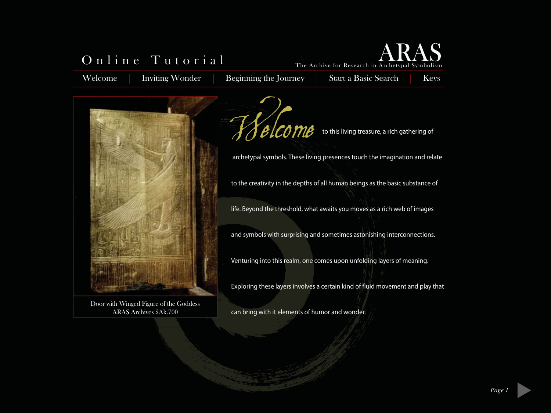## Online Tutorial

Welcome Inviting Wonder Beginning the Journey Start a Basic Search

The Archive for Research in Archetypal Symbolism

Keys

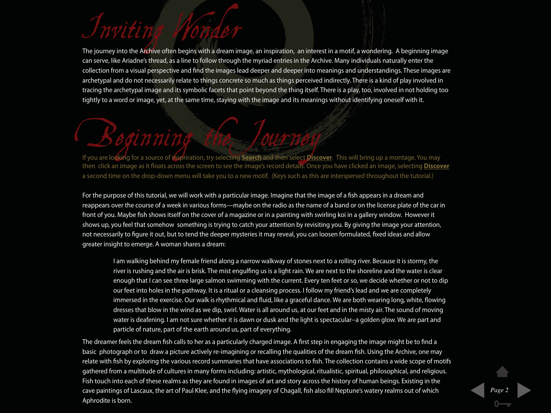# Inviting Wonder

The journey into the Archive often begins with a dream image, an inspiration, an interest in a motif, a wondering. A beginning image can serve, like Ariadne's thread, as a line to follow through the myriad entries in the Archive. Many individuals naturally enter the collection from a visual perspective and find the images lead deeper and deeper into meanings and understandings. These images are archetypal and do not necessarily relate to things concrete so much as things perceived indirectly. There is a kind of play involved in tracing the archetypal image and its symbolic facets that point beyond the thing itself. There is a play, too, involved in not holding too tightly to a word or image, yet, at the same time, staying with the image and its meanings without identifying oneself with it.

## Beginning the Journey If you are looking for a source of inspriration, try selecting **Search** and then select **Discover**. This will bring up a montage. You may then click an image as it floats across the screen to see the image's record details. Once you have clicked an image, selecting **Discover** a second time on the drop-down menu will take you to a new motif. (Keys such as this are interspersed throughout the tutorial.)

For the purpose of this tutorial, we will work with a particular image. Imagine that the image of a fish appears in a dream and reappears over the course of a week in various forms—maybe on the radio as the name of a band or on the license plate of the car in front of you. Maybe fish shows itself on the cover of a magazine or in a painting with swirling koi in a gallery window. However it shows up, you feel that somehow something is trying to catch your attention by revisiting you. By giving the image your attention, not necessarily to figure it out, but to tend the deeper mysteries it may reveal, you can loosen formulated, fixed ideas and allow greater insight to emerge. A woman shares a dream:

I am walking behind my female friend along a narrow walkway of stones next to a rolling river. Because it is stormy, the river is rushing and the air is brisk. The mist engulfing us is a light rain. We are next to the shoreline and the water is clear enough that I can see three large salmon swimming with the current. Every ten feet or so, we decide whether or not to dip our feet into holes in the pathway. It is a ritual or a cleansing process. I follow my friend's lead and we are completely immersed in the exercise. Our walk is rhythmical and fluid, like a graceful dance. We are both wearing long, white, flowing dresses that blow in the wind as we dip, swirl. Water is all around us, at our feet and in the misty air. The sound of moving water is deafening. I am not sure whether it is dawn or dusk and the light is spectacular--a golden glow. We are part and particle of nature, part of the earth around us, part of everything.

The dreamer feels the dream fish calls to her as a particularly charged image. A first step in engaging the image might be to find a basic photograph or to draw a picture actively re-imagining or recalling the qualities of the dream fish. Using the Archive, one may relate with fish by exploring the various record summaries that have associations to fish. The collection contains a wide scope of motifs gathered from a multitude of cultures in many forms including: artistic, mythological, ritualistic, spiritual, philosophical, and religious. Fish touch into each of these realms as they are found in images of art and story across the history of human beings. Existing in the cave paintings of Lascaux, the art of Paul Klee, and the flying imagery of Chagall, fish also fill Neptune's watery realms out of which Aphrodite is born.

*Page 2*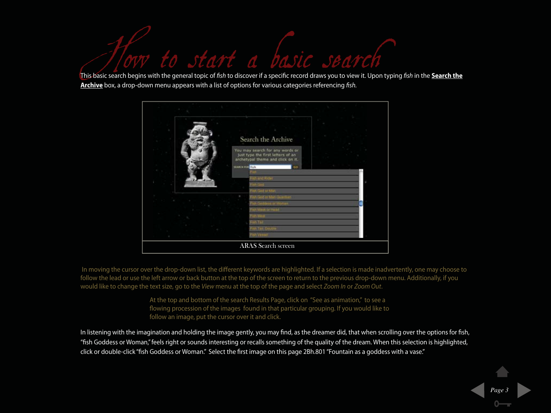For to start a basic search begins with the general topic of fish to discover if a specific record draws you to view it. Upon typing fish in the **Search the** 

This basic search begins with the general topic of fish to discover if a specific record draws you to view it. Upon typing fish in the **Search the** number to a bright years that in the general topic or non to also for a specific record and no year. **<u>Archive</u>** box, a drop-down menu appears with a list of options for various categories referencing *fish*.



In moving the cursor over the drop-down list, the different keywords are highlighted. If a selection is made inadvertently, one may choose to follow the lead or use the left arrow or back button at the top of the screen to return to the previous drop-down menu. Additionally, if you would like to change the text size, go to the View menu at the top of the page and select Zoom In or Zoom Out.

> At the top and bottom of the search Results Page, click on "See as animation," to see a flowing procession of the images found in that particular grouping. If you would like to follow an image, put the cursor over it and click.

In listening with the imagination and holding the image gently, you may find, as the dreamer did, that when scrolling over the options for fish, "fish Goddess or Woman," feels right or sounds interesting or recalls something of the quality of the dream. When this selection is highlighted, click or double-click "fish Goddess or Woman." Select the first image on this page 2Bh.801 "Fountain as a goddess with a vase."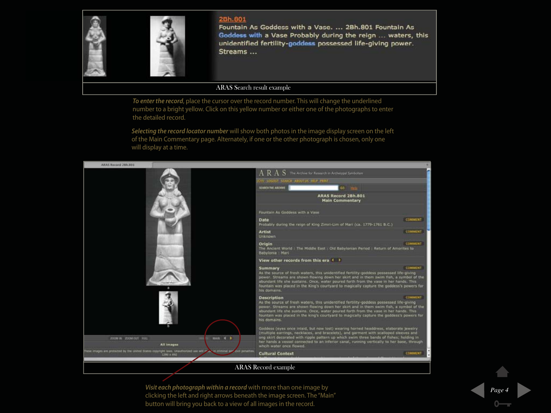

2Bh.801 Fountain As Goddess with a Vase. ... 2Bh.801 Fountain As Goddess with a Vase Probably during the reign ... waters, this unidentified fertility-goddess possessed life-giving power. Streams ...

### ARAS Search result example

*To enter the record*, place the cursor over the record number. This will change the underlined number to a bright yellow. Click on this yellow number or either one of the photographs to enter the detailed record.

*Selecting the record locator number* will show both photos in the image display screen on the left of the Main Commentary page. Alternately, if one or the other photograph is chosen, only one will display at a time.



*Visit each photograph within a record* with more than one image by clicking the left and right arrows beneath the image screen. The "Main" button will bring you back to a view of all images in the record.

*Page 4*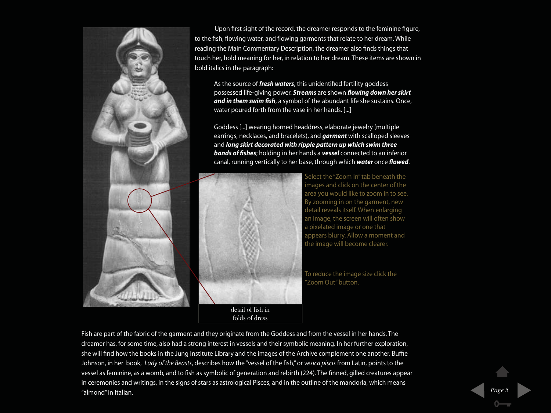

 Upon first sight of the record, the dreamer responds to the feminine figure, to the fish, flowing water, and flowing garments that relate to her dream. While reading the Main Commentary Description, the dreamer also finds things that touch her, hold meaning for her, in relation to her dream. These items are shown in bold italics in the paragraph:

As the source of **fresh waters**, this unidentified fertility goddess possessed life-giving power. **Streams** are shown **flowing down her skirt and in them swim fish**, a symbol of the abundant life she sustains. Once, water poured forth from the vase in her hands. [...]

Goddess [...] wearing horned headdress, elaborate jewelry (multiple earrings, necklaces, and bracelets), and **garment** with scalloped sleeves and **long skirt decorated with ripple pattern up which swim three bands of fishes**; holding in her hands a **vessel** connected to an inferior canal, running vertically to her base, through which **water** once **flowed**.



detail of fish in folds of dress

Select the "Zoom In" tab beneath the mages and click on the center of the area you would like to zoom in to see. By zooming in on the garment, new detail reveals itself. When enlarging an image, the screen will often show a pixelated image or one that appears blurry. Allow a moment and the image will become clearer.

To reduce the image size click the Zoom Out" button.

Fish are part of the fabric of the garment and they originate from the Goddess and from the vessel in her hands. The dreamer has, for some time, also had a strong interest in vessels and their symbolic meaning. In her further exploration, she will find how the books in the Jung Institute Library and the images of the Archive complement one another. Buffie Johnson, in her book, Lady of the Beasts, describes how the "vessel of the fish," or vesica piscis from Latin, points to the vessel as feminine, as a womb, and to fish as symbolic of generation and rebirth (224). The finned, gilled creatures appear in ceremonies and writings, in the signs of stars as astrological Pisces, and in the outline of the mandorla, which means "almond" in Italian. *Page 5*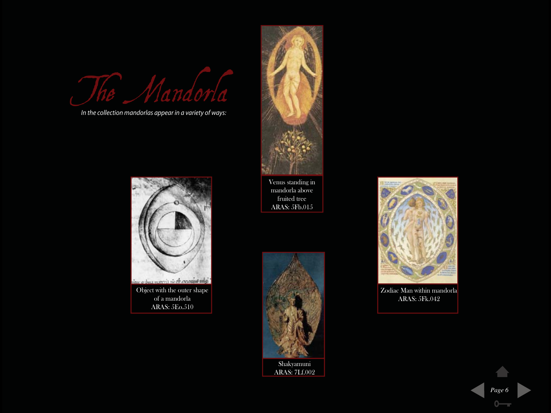The Mando

In the collection mandorlas appear in a variety of ways:



of a mandorla ARAS: 5Eo.510



Venus standing in mandorla above fruited tree ARAS: 5Fb.015





Zodiac Man within mandorla ARAS: 5Fk.042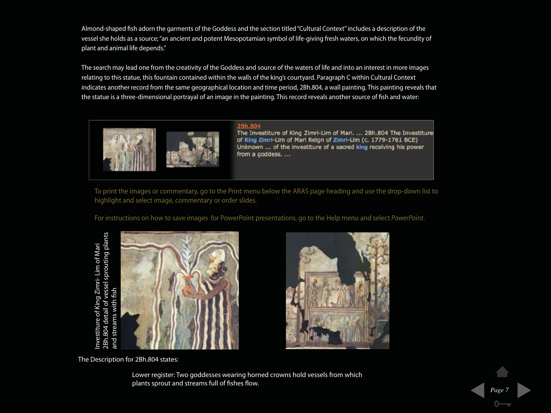Almond-shaped fish adorn the garments of the Goddess and the section titled "Cultural Context" includes a description of the vessel she holds as a source; "an ancient and potent Mesopotamian symbol of life-giving fresh waters, on which the fecundity of plant and animal life depends."

The search may lead one from the creativity of the Goddess and source of the waters of life and into an interest in more images relating to this statue, this fountain contained within the walls of the king's courtyard. Paragraph C within Cultural Context indicates another record from the same geographical location and time period, 2Bh.804, a wall painting. This painting reveals that the statue is a three-dimensional portrayal of an image in the painting. This record reveals another source of fish and water:



28h.804 The Investiture of King Zimri-Lim of Mari. ... 2Bh.804 The Investiture of King Zimri-Lim of Mari Reign of Zimri-Lim (c. 1779-1761 BCE) Unknown ... of the investiture of a sacred king receiving his power from a goddess. ...

To print the images or commentary, go to the Print menu below the ARAS page heading and use the drop-down list to highlight and select image, commentary or order slides.

For instructions on how to save images for PowerPoint presentations, go to the Help menu and select PowerPoint.

2Bh.804 detail of vessel sprouting plants 2Bh.804 detail of vessel sprouting plants<br>and streams with fish Investiture of King Zimri- Lim of Mari Investiture of King Zimri- Lim of Mari and streams with fish





The Description for 2Bh.804 states:

Lower register: Two goddesses wearing horned crowns hold vessels from which plants sprout and streams full of fishes flow.

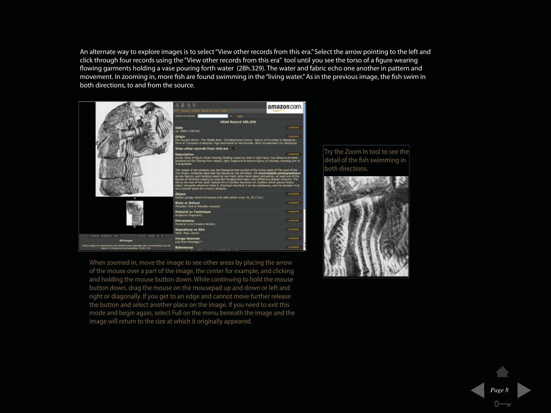An alternate way to explore images is to select "View other records from this era." Select the arrow pointing to the left and click through four records using the "View other records from this era" tool until you see the torso of a figure wearing flowing garments holding a vase pouring forth water (2Bh.329). The water and fabric echo one another in pattern and movement. In zooming in, more fish are found swimming in the "living water." As in the previous image, the fish swim in both directions, to and from the source.



When zoomed in, move the image to see other areas by placing the arrow of the mouse over a part of the image, the center for example, and clicking and holding the mouse button down. While continuing to hold the mouse button down, drag the mouse on the mousepad up and down or left and right or diagonally. If you get to an edge and cannot move further release the button and select another place on the image. If you need to exit this mode and begin again, select Full on the menu beneath the image and the image will return to the size at which it originally appeared.





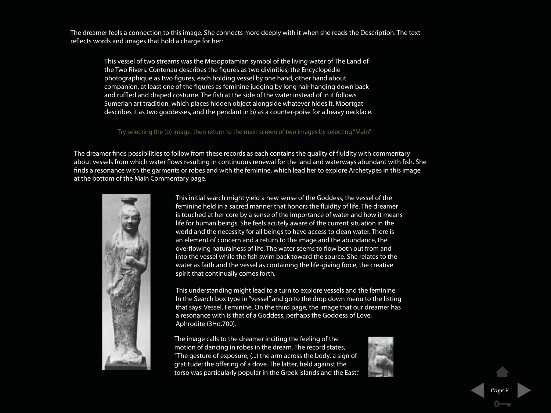The dreamer feels a connection to this image. She connects more deeply with it when she reads the Description. The text reflects words and images that hold a charge for her:

This vessel of two streams was the Mesopotamian symbol of the living water of The Land of the Two Rivers. Contenau describes the figures as two divinities; the Encyclopédie photographique as two figures, each holding vessel by one hand, other hand about companion, at least one of the figures as feminine judging by long hair hanging down back and ruffled and draped costume. The fish at the side of the water instead of in it follows Sumerian art tradition, which places hidden object alongside whatever hides it. Moortgat describes it as two goddesses, and the pendant in b) as a counter-poise for a heavy necklace.

#### Try selecting the (b) image, then return to the main screen of two images by selecting "Main".

The dreamer finds possibilities to follow from these records as each contains the quality of fluidity with commentary about vessels from which water flows resulting in continuous renewal for the land and waterways abundant with fish. She finds a resonance with the garments or robes and with the feminine, which lead her to explore Archetypes in this image at the bottom of the Main Commentary page.



This initial search might yield a new sense of the Goddess, the vessel of the feminine held in a sacred manner that honors the fluidity of life. The dreamer is touched at her core by a sense of the importance of water and how it means life for human beings. She feels acutely aware of the current situation in the world and the necessity for all beings to have access to clean water. There is an element of concern and a return to the image and the abundance, the overflowing naturalness of life. The water seems to flow both out from and into the vessel while the fish swim back toward the source. She relates to the water as faith and the vessel as containing the life-giving force, the creative spirit that continually comes forth.

This understanding might lead to a turn to explore vessels and the feminine. In the Search box type in "vessel" and go to the drop down menu to the listing that says: Vessel, Feminine. On the third page, the image that our dreamer has a resonance with is that of a Goddess, perhaps the Goddess of Love, Aphrodite (3Hd.700).

The image calls to the dreamer inciting the feeling of the motion of dancing in robes in the dream. The record states, "The gesture of exposure, (...) the arm across the body, a sign of gratitude; the offering of a dove. The latter, held against the torso was particularly popular in the Greek islands and the East."

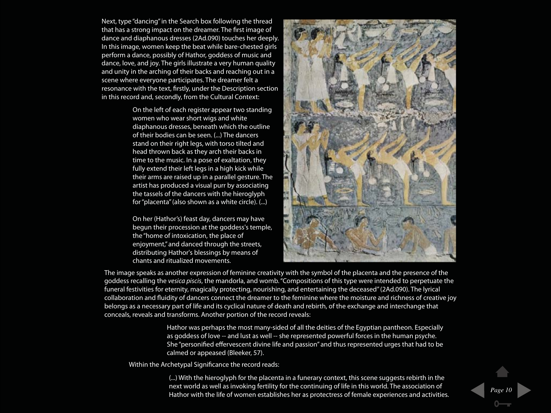Next, type "dancing" in the Search box following the thread that has a strong impact on the dreamer. The first image of dance and diaphanous dresses (2Ad.090) touches her deeply. In this image, women keep the beat while bare-chested girls perform a dance, possibly of Hathor, goddess of music and dance, love, and joy. The girls illustrate a very human quality and unity in the arching of their backs and reaching out in a scene where everyone participates. The dreamer felt a resonance with the text, firstly, under the Description section in this record and, secondly, from the Cultural Context:

> On the left of each register appear two standing women who wear short wigs and white diaphanous dresses, beneath which the outline of their bodies can be seen. (...) The dancers stand on their right legs, with torso tilted and head thrown back as they arch their backs in time to the music. In a pose of exaltation, they fully extend their left legs in a high kick while their arms are raised up in a parallel gesture. The artist has produced a visual purr by associating the tassels of the dancers with the hieroglyph for "placenta" (also shown as a white circle). (...)

> On her (Hathor's) feast day, dancers may have begun their procession at the goddess's temple, the "home of intoxication, the place of enjoyment," and danced through the streets, distributing Hathor's blessings by means of chants and ritualized movements.



The image speaks as another expression of feminine creativity with the symbol of the placenta and the presence of the goddess recalling the vesica piscis, the mandorla, and womb. "Compositions of this type were intended to perpetuate the funeral festivities for eternity, magically protecting, nourishing, and entertaining the deceased" (2Ad.090). The lyrical collaboration and fluidity of dancers connect the dreamer to the feminine where the moisture and richness of creative joy belongs as a necessary part of life and its cyclical nature of death and rebirth, of the exchange and interchange that conceals, reveals and transforms. Another portion of the record reveals:

> Hathor was perhaps the most many-sided of all the deities of the Egyptian pantheon. Especially as goddess of love -- and lust as well -- she represented powerful forces in the human psyche. She "personified effervescent divine life and passion" and thus represented urges that had to be calmed or appeased (Bleeker, 57).

Within the Archetypal Significance the record reads:

(...) With the hieroglyph for the placenta in a funerary context, this scene suggests rebirth in the next world as well as invoking fertility for the continuing of life in this world. The association of Hathor with the life of women establishes her as protectress of female experiences and activities.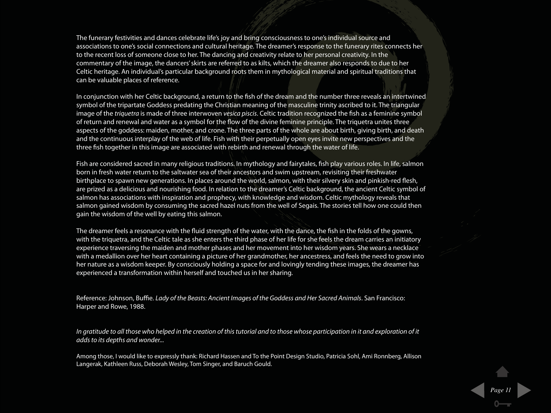The funerary festivities and dances celebrate life's joy and bring consciousness to one's individual source and associations to one's social connections and cultural heritage. The dreamer's response to the funerary rites connects her to the recent loss of someone close to her. The dancing and creativity relate to her personal creativity. In the commentary of the image, the dancers' skirts are referred to as kilts, which the dreamer also responds to due to her Celtic heritage. An individual's particular background roots them in mythological material and spiritual traditions that can be valuable places of reference.

In conjunction with her Celtic background, a return to the fish of the dream and the number three reveals an intertwined symbol of the tripartate Goddess predating the Christian meaning of the masculine trinity ascribed to it. The triangular image of the *triquetra* is made of three interwoven vesica piscis. Celtic tradition recognized the fish as a feminine symbol of return and renewal and water as a symbol for the flow of the divine feminine principle. The triquetra unites three aspects of the goddess: maiden, mother, and crone. The three parts of the whole are about birth, giving birth, and death and the continuous interplay of the web of life. Fish with their perpetually open eyes invite new perspectives and the three fish together in this image are associated with rebirth and renewal through the water of life.

Fish are considered sacred in many religious traditions. In mythology and fairytales, fish play various roles. In life, salmon born in fresh water return to the saltwater sea of their ancestors and swim upstream, revisiting their freshwater birthplace to spawn new generations. In places around the world, salmon, with their silvery skin and pinkish-red flesh, are prized as a delicious and nourishing food. In relation to the dreamer's Celtic background, the ancient Celtic symbol of salmon has associations with inspiration and prophecy, with knowledge and wisdom. Celtic mythology reveals that salmon gained wisdom by consuming the sacred hazel nuts from the well of Segais. The stories tell how one could then gain the wisdom of the well by eating this salmon.

The dreamer feels a resonance with the fluid strength of the water, with the dance, the fish in the folds of the gowns, with the triquetra, and the Celtic tale as she enters the third phase of her life for she feels the dream carries an initiatory experience traversing the maiden and mother phases and her movement into her wisdom years. She wears a necklace with a medallion over her heart containing a picture of her grandmother, her ancestress, and feels the need to grow into her nature as a wisdom keeper. By consciously holding a space for and lovingly tending these images, the dreamer has experienced a transformation within herself and touched us in her sharing.

Reference: Johnson, Buffie. Lady of the Beasts: Ancient Images of the Goddess and Her Sacred Animals. San Francisco: Harper and Rowe, 1988.

In gratitude to all those who helped in the creation of this tutorial and to those whose participation in it and exploration of it adds to its depths and wonder...

Among those, I would like to expressly thank: Richard Hassen and To the Point Design Studio, Patricia Sohl, Ami Ronnberg, Allison Langerak, Kathleen Russ, Deborah Wesley, Tom Singer, and Baruch Gould.